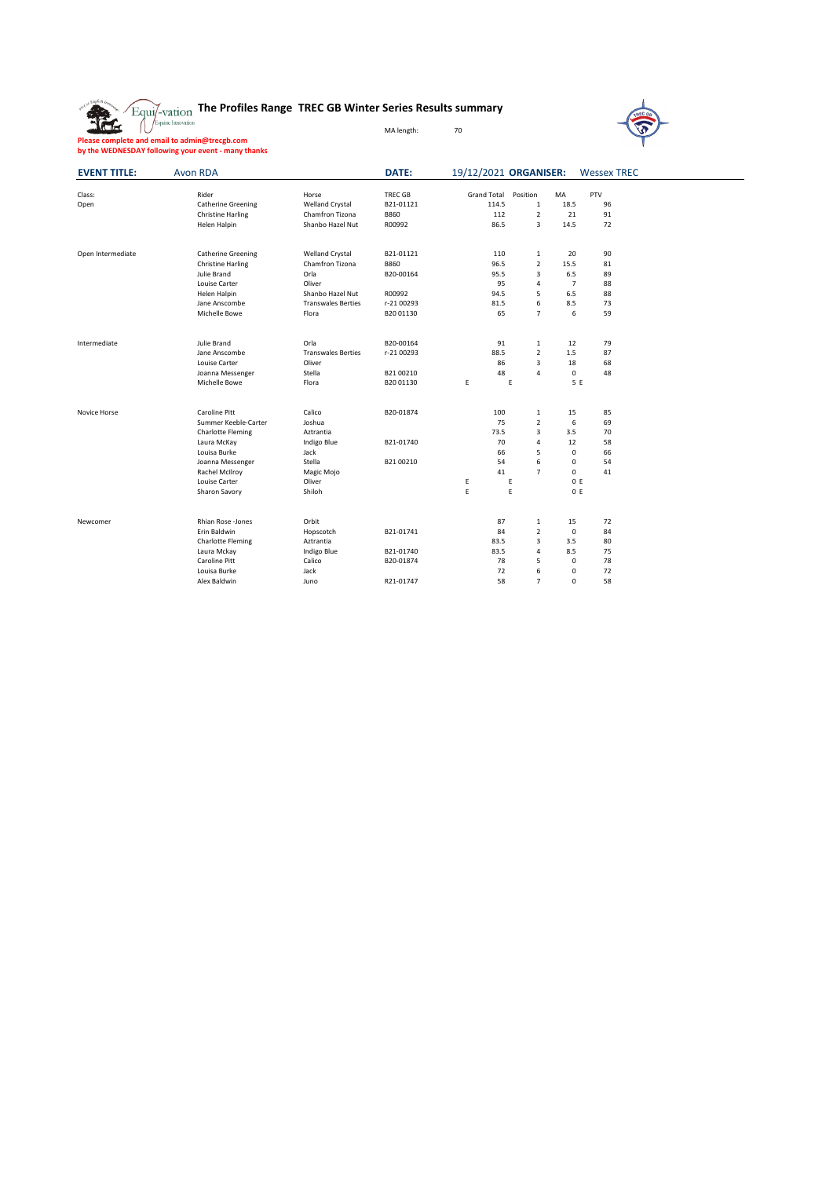|  | $\mathbb{E}_{\text{qui}}$ $\mathbb{F}_{\text{vation}}$ The Profiles Range TREC GB Winter Series Results summary |  |  |  |
|--|-----------------------------------------------------------------------------------------------------------------|--|--|--|
|--|-----------------------------------------------------------------------------------------------------------------|--|--|--|



J.

**Please complete and email to admin@trecgb.com by the WEDNESDAY following your event - many thanks**

| <b>EVENT TITLE:</b> | <b>Avon RDA</b>                       |                           | DATE:          | 19/12/2021 ORGANISER: |                     |                | <b>Wessex TREC</b> |  |
|---------------------|---------------------------------------|---------------------------|----------------|-----------------------|---------------------|----------------|--------------------|--|
| Class:              | Rider                                 | Horse                     | <b>TREC GB</b> | Grand Total           | Position            | MA             | PTV                |  |
| Open                | <b>Catherine Greening</b>             | Welland Crystal           | B21-01121      | 114.5                 | 1                   | 18.5           | 96                 |  |
|                     | <b>Christine Harling</b>              | Chamfron Tizona           | <b>B860</b>    | 112                   | $\overline{2}$      | 21             | 91                 |  |
|                     | Helen Halpin                          | Shanbo Hazel Nut          | R00992         | 86.5                  | 3                   | 14.5           | 72                 |  |
| Open Intermediate   | <b>Catherine Greening</b>             | Welland Crystal           | B21-01121      | 110                   | $\mathbf{1}$        | 20             | 90                 |  |
|                     | <b>Christine Harling</b>              | Chamfron Tizona           | <b>B860</b>    | 96.5                  | $\overline{2}$      | 15.5           | 81                 |  |
|                     | Julie Brand                           | Orla                      | B20-00164      | 95.5                  | 3                   | 6.5            | 89                 |  |
|                     | Louise Carter                         | Oliver                    |                | 95                    | 4                   | $\overline{7}$ | 88                 |  |
|                     | Helen Halpin                          | Shanbo Hazel Nut          | R00992         | 94.5                  | 5                   | 6.5            | 88                 |  |
|                     | Jane Anscombe                         | <b>Transwales Berties</b> | r-21 00293     | 81.5                  | 6                   | 8.5            | 73                 |  |
|                     | Michelle Bowe                         | Flora                     | B20 01130      | 65                    | $\overline{7}$      | 6              | 59                 |  |
| Intermediate        | Julie Brand                           | Orla                      | B20-00164      | 91                    | $\mathbf{1}$        | 12             | 79                 |  |
|                     | Jane Anscombe                         | <b>Transwales Berties</b> | r-21 00293     | 88.5                  | $\overline{2}$      | 1.5            | 87                 |  |
|                     | Louise Carter                         | Oliver                    |                | 86                    | 3                   | 18             | 68                 |  |
|                     | Joanna Messenger                      | Stella                    | B2100210       | 48                    | 4                   | 0              | 48                 |  |
|                     | Michelle Bowe                         | Flora                     | B20 01130      | E                     | E                   | 5 E            |                    |  |
|                     |                                       |                           |                |                       |                     |                |                    |  |
| Novice Horse        | Caroline Pitt<br>Summer Keeble-Carter | Calico<br>Joshua          | B20-01874      | 100<br>75             | $\mathbf{1}$        | 15<br>6        | 85<br>69           |  |
|                     |                                       | Aztrantia                 |                | 73.5                  | $\overline{2}$<br>3 | 3.5            | 70                 |  |
|                     | <b>Charlotte Fleming</b>              |                           | B21-01740      | 70                    | 4                   | 12             | 58                 |  |
|                     | Laura McKay<br>Louisa Burke           | Indigo Blue<br>Jack       |                | 66                    | 5                   | 0              | 66                 |  |
|                     |                                       | Stella                    | B2100210       | 54                    | 6                   | 0              | 54                 |  |
|                     | Joanna Messenger                      |                           |                | 41                    | $\overline{7}$      | $\Omega$       | 41                 |  |
|                     | Rachel McIlroy<br>Louise Carter       | Magic Mojo<br>Oliver      |                | E                     | E                   | 0 E            |                    |  |
|                     | Sharon Savory                         | Shiloh                    |                | E                     | E                   | 0 E            |                    |  |
|                     |                                       |                           |                |                       |                     |                |                    |  |
| Newcomer            | <b>Rhian Rose - Jones</b>             | Orbit                     |                | 87                    | $\mathbf{1}$        | 15             | 72                 |  |
|                     | Erin Baldwin                          | Hopscotch                 | B21-01741      | 84                    | $\overline{2}$      | $\mathbf 0$    | 84                 |  |
|                     | <b>Charlotte Fleming</b>              | Aztrantia                 |                | 83.5                  | 3                   | 3.5            | 80                 |  |
|                     | Laura Mckay                           | Indigo Blue               | B21-01740      | 83.5                  | 4                   | 8.5            | 75                 |  |
|                     | Caroline Pitt                         | Calico                    | B20-01874      | 78                    | 5                   | $\mathbf 0$    | 78                 |  |
|                     | Louisa Burke                          | Jack                      |                | 72                    | 6                   | 0              | 72                 |  |
|                     | Alex Baldwin                          | Juno                      | R21-01747      | 58                    | $\overline{7}$      | $\Omega$       | 58                 |  |

MA length: 70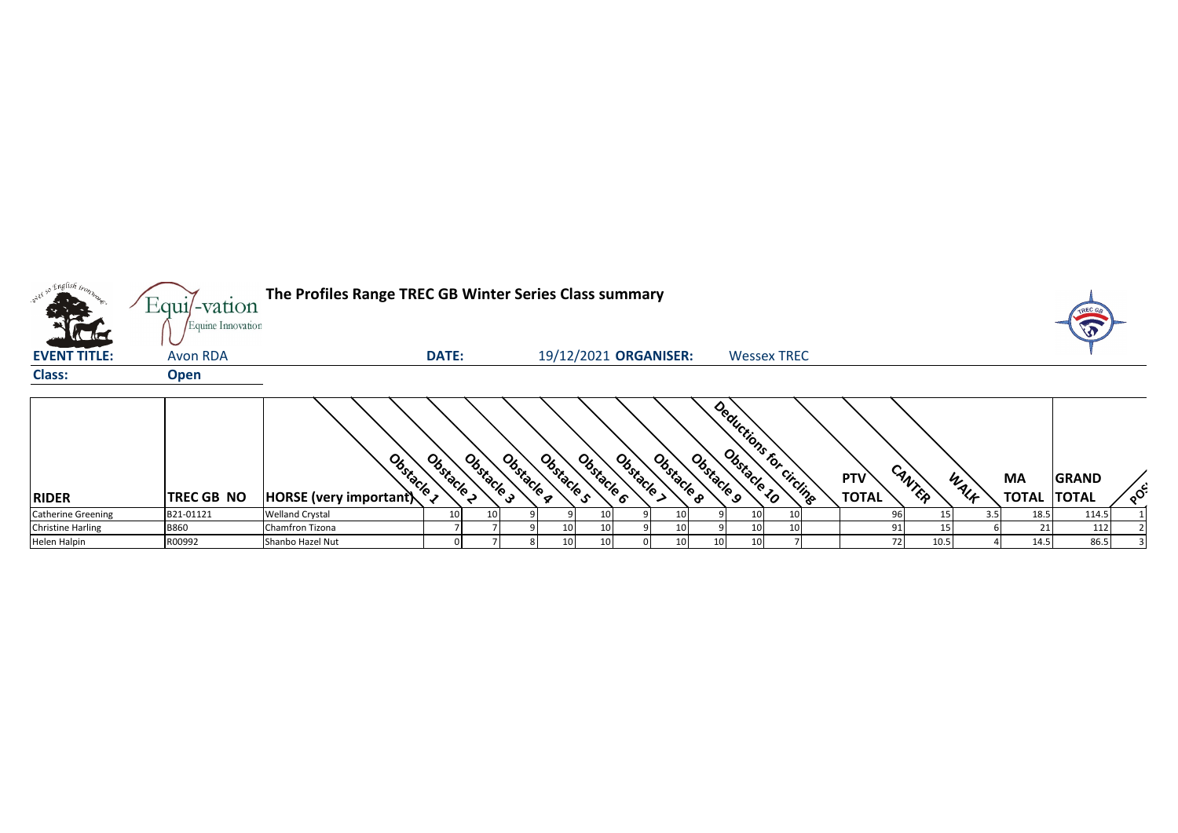| so English iron.          | Equil-vation      | The Profiles Range TREC GB Winter Series Class summary |                          |            |                 |                       |                          |                       |    |                         |                            |        |      |                           | TREC G                       |         |
|---------------------------|-------------------|--------------------------------------------------------|--------------------------|------------|-----------------|-----------------------|--------------------------|-----------------------|----|-------------------------|----------------------------|--------|------|---------------------------|------------------------------|---------|
| <b>Value</b>              | Equine Innovation |                                                        |                          |            |                 |                       |                          |                       |    |                         |                            |        |      |                           | $\sqrt{2}$                   |         |
| <b>EVENT TITLE:</b>       | <b>Avon RDA</b>   |                                                        | <b>DATE:</b>             |            |                 | 19/12/2021 ORGANISER: |                          |                       |    | <b>Wessex TREC</b>      |                            |        |      |                           |                              |         |
| <b>Class:</b>             | <b>Open</b>       |                                                        |                          |            |                 |                       |                          |                       |    |                         |                            |        |      |                           |                              |         |
| <b>RIDER</b>              | <b>TREC GB NO</b> | Obstacle 1<br>HORSE (very important)                   | Obstacle 3<br>Obstacle 2 | Obstacle a | Obstacle s      | Obstacle 6            | Obstacle ><br>Obstacle 8 | Obstacle <sub>9</sub> |    | Deductions for circling | <b>PTV</b><br><b>TOTAL</b> | CANTER | WALF | <b>MA</b><br><b>TOTAL</b> | <b>GRAND</b><br><b>TOTAL</b> | $\circ$ |
| <b>Catherine Greening</b> | B21-01121         | <b>Welland Crystal</b>                                 | 10 <sub>1</sub>          |            |                 | 10                    | 10                       |                       | 10 |                         | 96                         |        |      | 18.5                      | 114.5                        |         |
| <b>Christine Harling</b>  | <b>B860</b>       | Chamfron Tizona                                        |                          |            | 10 <sub>1</sub> | 10                    | 10                       |                       | 10 |                         | 91                         |        |      | 21                        | 112                          |         |
| Helen Halpin              | R00992            | Shanbo Hazel Nut                                       |                          |            | 10              | 10                    | 10                       | 10                    | 10 |                         | 72                         | 10.5   |      | 14.5                      | 86.5                         |         |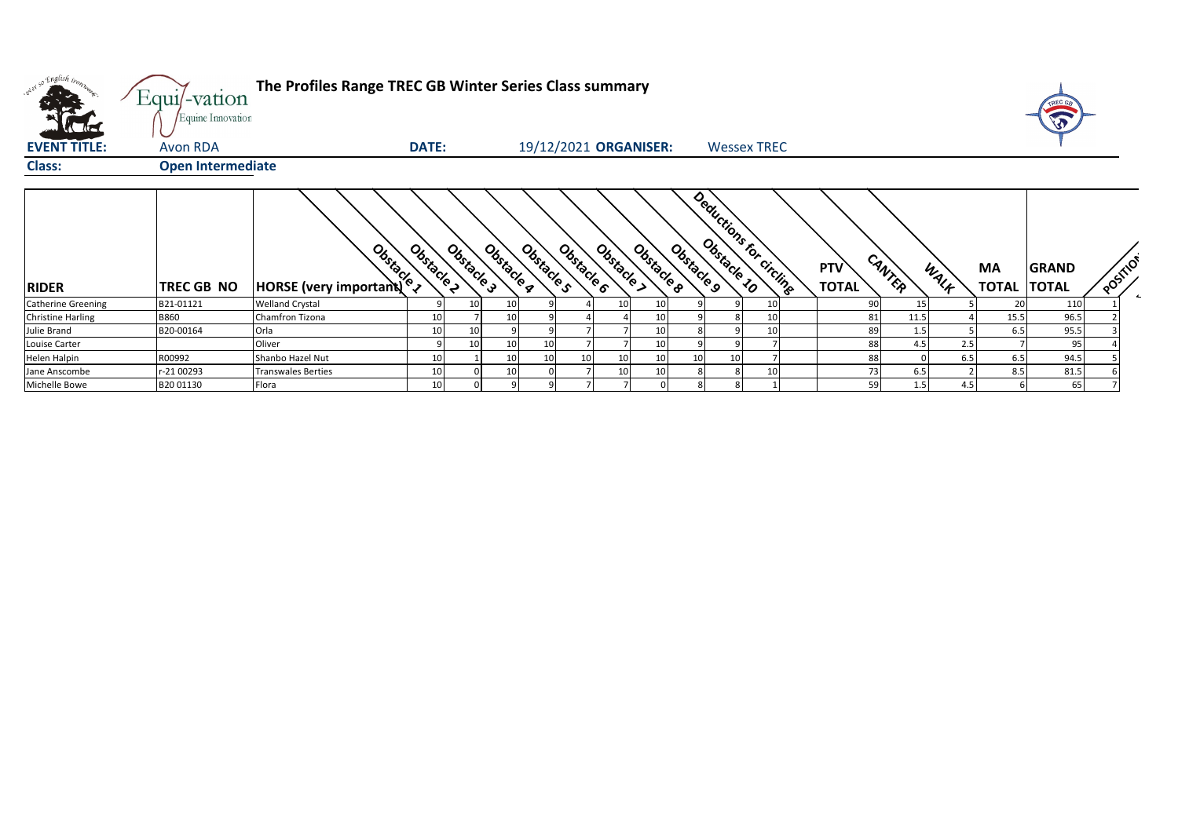| viel so English bon       | Equi/-vation<br>Equine Innovation | The Profiles Range TREC GB Winter Series Class summary                                                                                                                                                                               |              |            |            |            |            |          |                       |                 |    |                           |                     |        |      |      |                          |              |          |           |
|---------------------------|-----------------------------------|--------------------------------------------------------------------------------------------------------------------------------------------------------------------------------------------------------------------------------------|--------------|------------|------------|------------|------------|----------|-----------------------|-----------------|----|---------------------------|---------------------|--------|------|------|--------------------------|--------------|----------|-----------|
| <b>EVENT TITLE:</b>       | Avon RDA                          |                                                                                                                                                                                                                                      | <b>DATE:</b> |            |            |            |            |          | 19/12/2021 ORGANISER: |                 |    | <b>Wessex TREC</b>        |                     |        |      |      |                          |              |          |           |
| Class:                    | <b>Open Intermediate</b>          |                                                                                                                                                                                                                                      |              |            |            |            |            |          |                       |                 |    |                           |                     |        |      |      |                          |              |          |           |
| <b>RIDER</b>              | TREC GB NO                        | <b>Branch Control Comportantly Composite Comportantly Comportantly Comportantly Comportantly Comportantly Comportantly Comportantly Comportantly Comportantly Comportantly Comportantly Comportantly Comportantly Comportantly C</b> | Obstacle 2   | Obstacle 3 | Obstacle g | Obstacle s | Obstacle 6 | Obstacle | Obstacle 8            | Obstacle 9      |    | Deductions for circuiting | PTV<br><b>TOTAL</b> | CANTER |      | WALF | MA<br><b>TOTAL TOTAL</b> | <b>GRAND</b> | POSITION | $\bullet$ |
| <b>Catherine Greening</b> | B21-01121                         | <b>Welland Crystal</b>                                                                                                                                                                                                               |              |            |            |            |            |          |                       |                 |    | 10                        |                     | 90     | 15   |      | 20                       | 11C          |          |           |
| <b>Christine Harling</b>  | <b>B860</b>                       | Chamfron Tizona                                                                                                                                                                                                                      |              |            |            |            |            |          |                       |                 |    | 10                        |                     | 81     | 11.5 |      | 15.5                     | 96.5         |          |           |
| Julie Brand               | B20-00164                         | Orla                                                                                                                                                                                                                                 |              | 10         |            |            |            |          | 10                    |                 |    | 10                        |                     | 89     | 1.5  |      | 6.5                      | 95.5         |          |           |
| Louise Carter             |                                   | Oliver                                                                                                                                                                                                                               |              | 10         | 10         |            |            |          | 10                    |                 |    |                           |                     | 88     | 4.5  | 2.5  |                          | 95           |          |           |
| Helen Halpin              | R00992                            | Shanbo Hazel Nut                                                                                                                                                                                                                     |              |            | 10         |            |            |          | 10                    | 10 <sup>1</sup> | 10 |                           |                     | 88     |      | 6.5  | 6.5                      | 94.5         |          |           |
| Jane Anscombe             | r-21 00293                        | <b>Transwales Berties</b>                                                                                                                                                                                                            |              |            |            |            |            |          | 10                    |                 | 8  | 10                        |                     | 73     | 6.5  |      | 8.5                      | 81.5         |          |           |
| Michelle Bowe             | B20 01130                         | Flora                                                                                                                                                                                                                                | 10           |            |            |            |            |          |                       |                 |    |                           |                     | 59     | 1.5  | 4.5  |                          | 65           |          |           |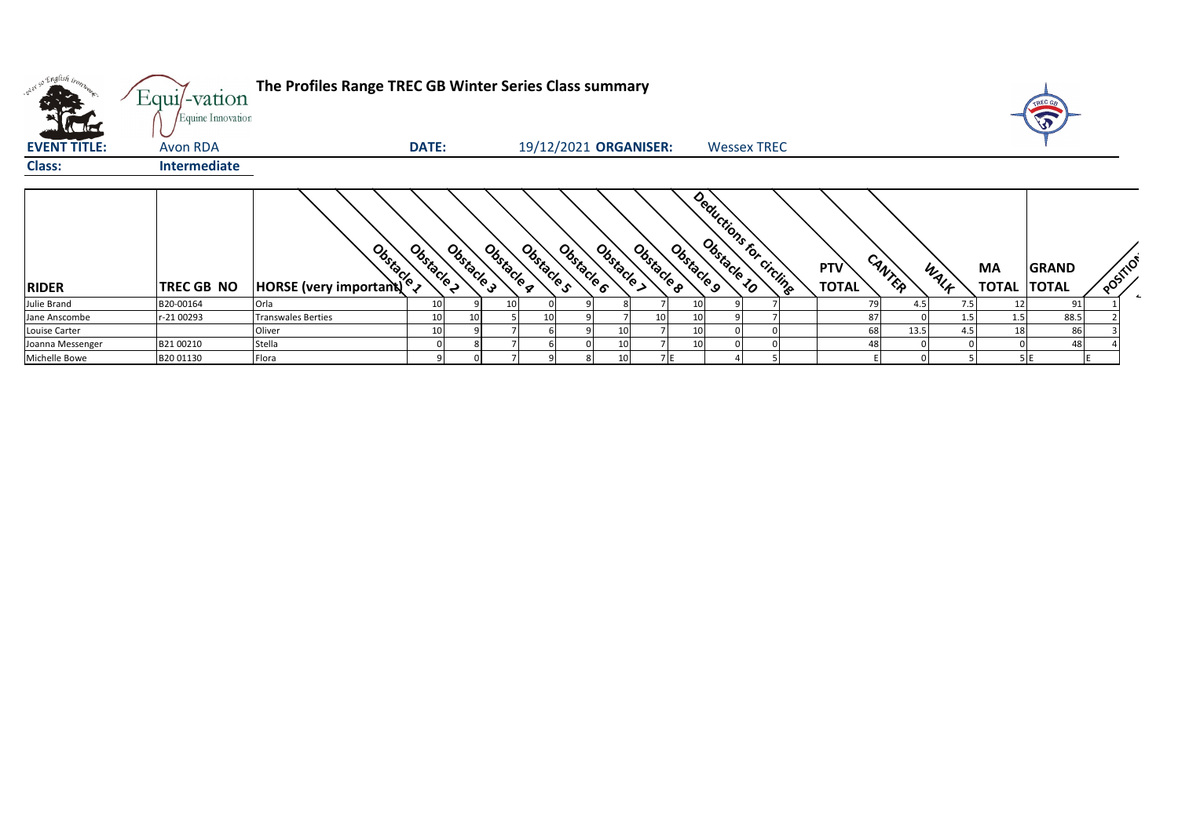|                     | Equi/-vation<br>Equine Innovation | The Profiles Range TREC GB Winter Series Class summary |              |            |                          |                          |            |                       |                          |                            |            |      |                          | TREC OF |          |
|---------------------|-----------------------------------|--------------------------------------------------------|--------------|------------|--------------------------|--------------------------|------------|-----------------------|--------------------------|----------------------------|------------|------|--------------------------|---------|----------|
| <b>EVENT TITLE:</b> | Avon RDA                          |                                                        | <b>DATE:</b> |            |                          | 19/12/2021 ORGANISER:    |            |                       | <b>Wessex TREC</b>       |                            |            |      |                          |         |          |
| <b>Class:</b>       | Intermediate                      |                                                        |              |            |                          |                          |            |                       |                          |                            |            |      |                          |         |          |
| <b>RIDER</b>        | <b>TREC GB NO</b>                 | Obstacle<br><b>HORSE (very important)</b>              | Obstacle 2   | Obstacle 3 | Obstacle s<br>Obstacle g | Obstacle ><br>Obstacle 6 | Obstacle & | Obstacle <sub>9</sub> | Deductions for circlinge | <b>PTV</b><br><b>TOTAL</b> | CANTER     | WALK | MA<br><b>TOTAL TOTAL</b> | GRAND   | POSITION |
| Julie Brand         | B20-00164                         | Orla                                                   |              |            |                          |                          |            |                       |                          |                            | 79<br>4.5  | 7.5  |                          | 91      |          |
| Jane Anscombe       | r-21 00293                        | <b>Transwales Berties</b>                              | 10           |            |                          |                          |            | 10                    |                          |                            | 87         | 1.5  | 1.5                      | 88.5    |          |
| Louise Carter       |                                   | Oliver                                                 |              |            |                          |                          |            | 10                    |                          |                            | 68<br>13.5 | 4.5  | 18                       | 86      |          |
| Joanna Messenger    | B2100210                          | Stella                                                 |              |            |                          |                          |            | 10 <sup>1</sup>       |                          |                            |            |      |                          | 48      |          |
| Michelle Bowe       | B20 01130                         | Flora                                                  |              |            |                          |                          |            | 7 E                   |                          |                            |            |      |                          |         |          |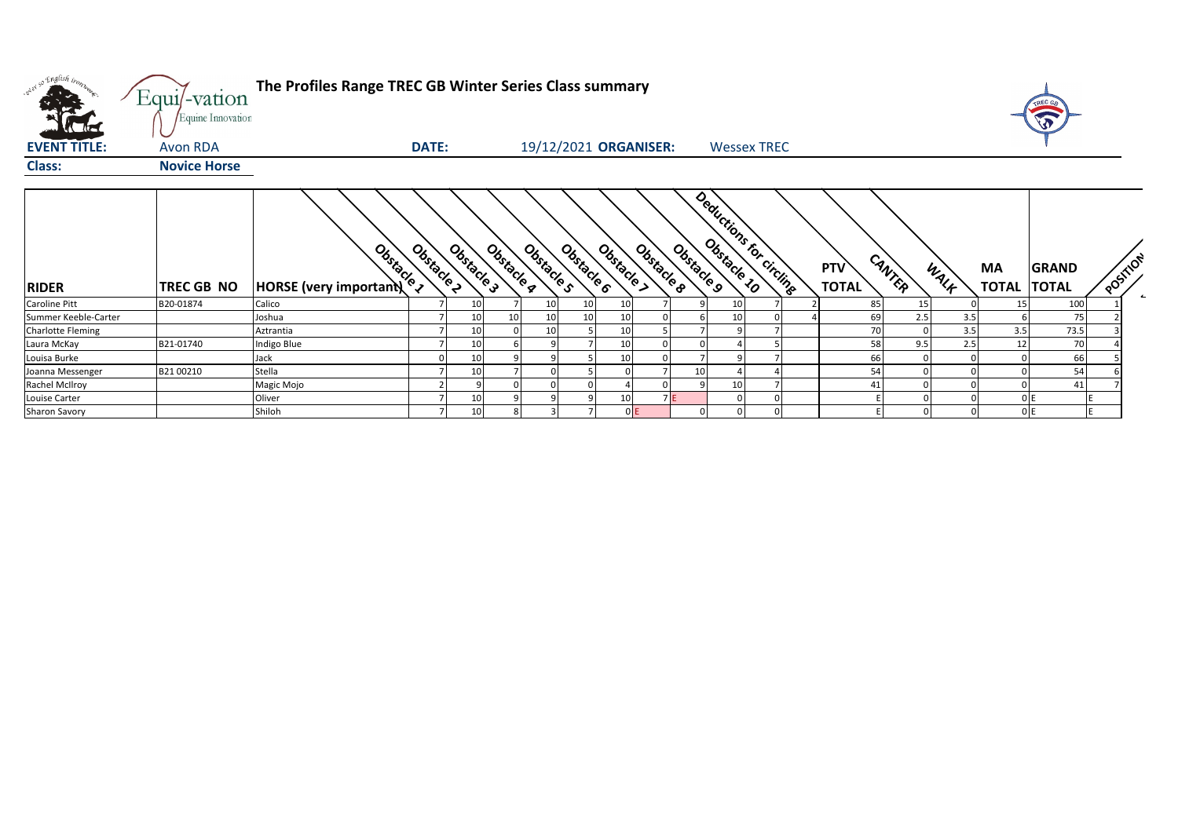| met so English inon-     | Equi/-vation<br>Equine Innovation | The Profiles Range TREC GB Winter Series Class summary |              |                 |                                     |                 |            |                       |                                       |                    |  |                     |        |            |           | TREC GA<br>$\widehat{\widehat{\mathbf{v}}}$ |          |            |
|--------------------------|-----------------------------------|--------------------------------------------------------|--------------|-----------------|-------------------------------------|-----------------|------------|-----------------------|---------------------------------------|--------------------|--|---------------------|--------|------------|-----------|---------------------------------------------|----------|------------|
| <b>EVENT TITLE:</b>      | Avon RDA                          |                                                        | <b>DATE:</b> |                 |                                     |                 |            | 19/12/2021 ORGANISER: |                                       | <b>Wessex TREC</b> |  |                     |        |            |           |                                             |          |            |
| <b>Class:</b>            | <b>Novice Horse</b>               |                                                        |              |                 |                                     |                 |            |                       |                                       |                    |  |                     |        |            |           |                                             |          |            |
| <b>RIDER</b>             | TREC GB NO                        | Obstacle 1<br>HORSE (very important)                   | Obstacle 2   | Obstacle 3      | Obstacle <sub>S</sub><br>Obstacle g | Obstacle 6      | Obstacle > | Obstacle 8            | Deductions for Circuits<br>Obstacle 9 |                    |  | PTV<br><b>TOTAL</b> | CANTER | WALK       | <b>MA</b> | <b>GRAND</b><br><b>TOTAL TOTAL</b>          | POSTTION | $\epsilon$ |
| Caroline Pitt            | B20-01874                         | Calico                                                 |              | 10 <sup>1</sup> | 10                                  | 10 <sub>1</sub> | 10         |                       |                                       | 10                 |  | 85                  |        | 15         |           | 100                                         |          |            |
| Summer Keeble-Carter     |                                   | Joshua                                                 |              | 10 <sup>1</sup> |                                     | 10 <sup>1</sup> | 10         |                       |                                       | 10                 |  | 69                  |        | 2.5<br>3.5 |           | 75                                          |          |            |
| <b>Charlotte Fleming</b> |                                   | Aztrantia                                              |              | 10              | 10                                  |                 | 10         |                       |                                       |                    |  | 70                  |        | 3.5        | 3.5       | 73.5                                        |          |            |
| Laura McKay              | B21-01740                         | Indigo Blue                                            |              | 10              |                                     |                 | 10         |                       |                                       |                    |  | 58                  | 9.5    | 2.5        | 12        | 70                                          |          |            |
| Louisa Burke             |                                   | Jack                                                   |              | 10              |                                     |                 | 10         |                       |                                       |                    |  | 66                  |        |            |           | 66                                          |          |            |
| Joanna Messenger         | B2100210                          | Stella                                                 |              | 10 <sup>1</sup> |                                     |                 |            |                       | 10                                    |                    |  | 54                  |        |            |           | 54                                          |          |            |
| Rachel McIlroy           |                                   | Magic Mojo                                             |              |                 |                                     |                 |            |                       |                                       | 10                 |  | $\mathbf{A}$        |        |            |           | 41                                          |          |            |
| Louise Carter            |                                   | Oliver                                                 |              | 10              |                                     |                 | 10         |                       |                                       |                    |  |                     |        |            |           |                                             |          |            |
| <b>Sharon Savory</b>     |                                   | Shiloh                                                 |              | 10 <sup>1</sup> |                                     |                 | 0E         |                       |                                       |                    |  |                     |        |            |           | 0 E                                         |          |            |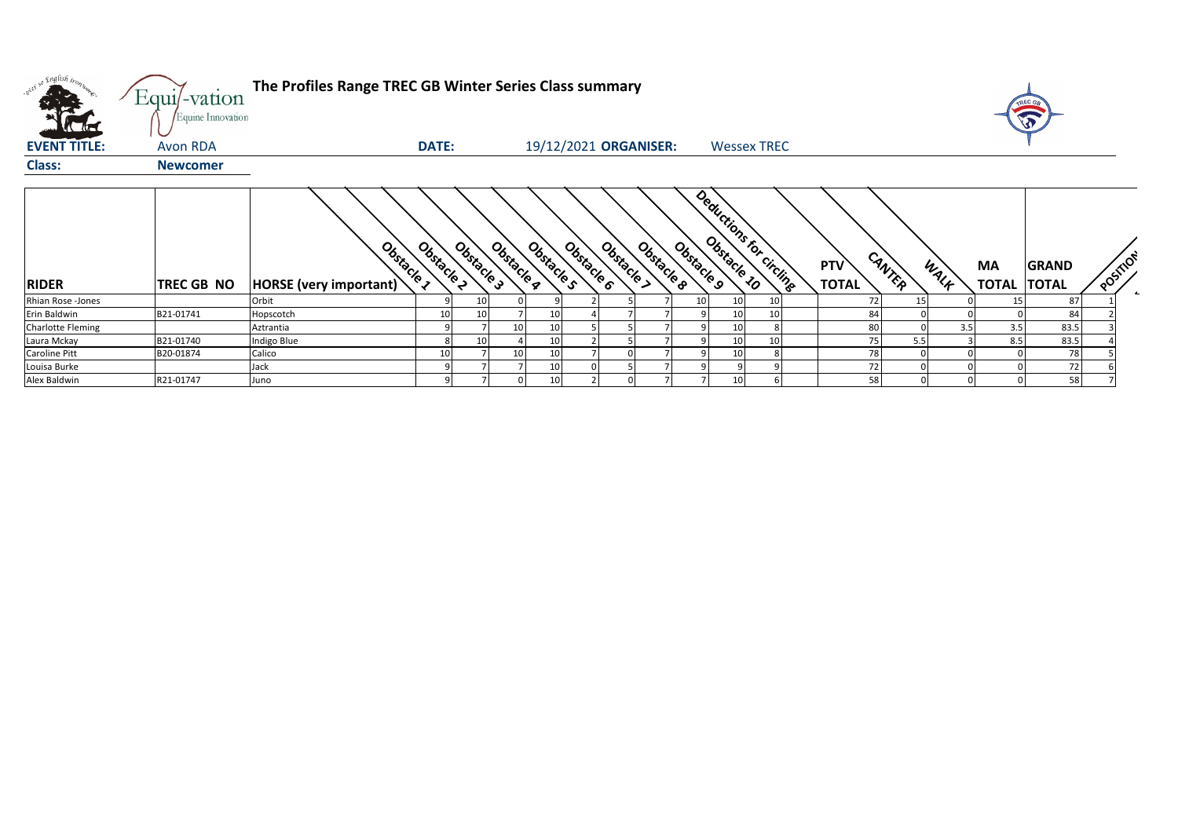| wit so English trong     | Equi/-vation<br>Equine Innovation | The Profiles Range TREC GB Winter Series Class summary |              |            |            |            |                                      |            |                         |                            |        |      |                    | rREC G                       |          |
|--------------------------|-----------------------------------|--------------------------------------------------------|--------------|------------|------------|------------|--------------------------------------|------------|-------------------------|----------------------------|--------|------|--------------------|------------------------------|----------|
| <b>EVENT TITLE:</b>      | <b>Avon RDA</b>                   |                                                        | <b>DATE:</b> |            |            |            | 19/12/2021 ORGANISER:                |            | <b>Wessex TREC</b>      |                            |        |      |                    |                              |          |
| <b>Class:</b>            | <b>Newcomer</b>                   |                                                        |              |            |            |            |                                      |            |                         |                            |        |      |                    |                              |          |
| <b>RIDER</b>             | <b>TREC GB NO</b>                 | Obstacle 1<br><b>HORSE</b> (very important)            | Obstacle 2   | Obstacle 3 | Obstacle g | Obstacle s | Obstacle 6<br>Obstacle<br>Obstacle 8 | Obstacle 9 | Deductions for circling | <b>PTV</b><br><b>TOTAL</b> | CANTER | WALK | MA<br><b>TOTAL</b> | <b>GRAND</b><br><b>TOTAL</b> | POSTILON |
| Rhian Rose -Jones        |                                   | Orbit                                                  |              | 10         |            |            |                                      | 10         |                         |                            | 15     |      |                    | 87                           |          |
| Erin Baldwin             | B21-01741                         | Hopscotch                                              |              |            |            |            |                                      |            |                         | 84                         |        |      |                    | 84                           |          |
| <b>Charlotte Fleming</b> |                                   | Aztrantia                                              |              |            | 10         |            |                                      |            |                         | 80                         |        | 3.5  | 3.5                | 83.5                         |          |
| Laura Mckay              | B21-01740                         | Indigo Blue                                            |              | 10         |            | 10         |                                      |            | 10                      | 75                         | 5.5    |      | 8.5                | 83.5                         |          |
| Caroline Pitt            | B20-01874                         | Calico                                                 | 10           |            | 10         | 10         |                                      |            |                         | 78                         |        |      |                    | 78                           |          |
| Louisa Burke             |                                   | Jack                                                   |              |            |            |            |                                      |            |                         | 72                         |        |      |                    | 72                           |          |
| Alex Baldwin             | R21-01747                         | Juno                                                   |              |            |            |            |                                      |            |                         | 58                         |        |      |                    | 58                           |          |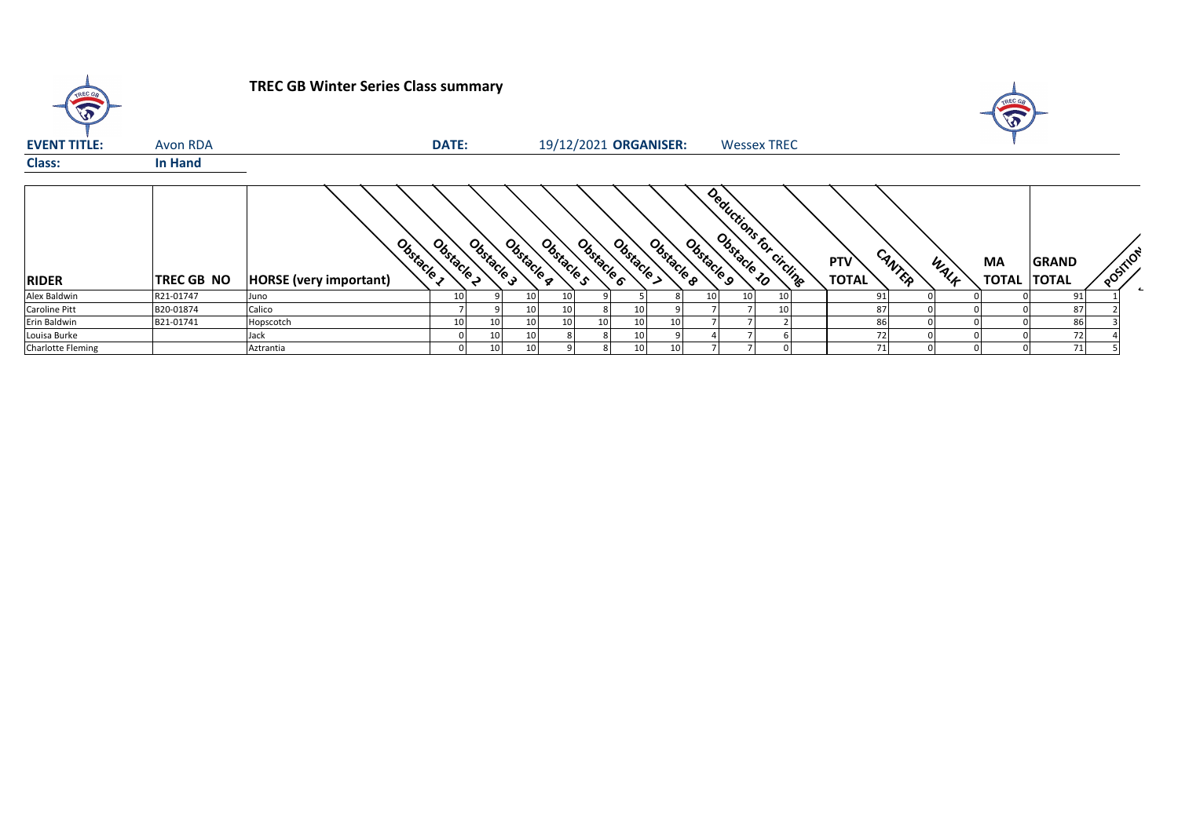| TREC GR             |                   | <b>TREC GB Winter Series Class summary</b>  |              |                 |                 |                       |    |                          |            |                                                    |                    |    |                            |        |      | TREC GE<br>A             |              |          |  |
|---------------------|-------------------|---------------------------------------------|--------------|-----------------|-----------------|-----------------------|----|--------------------------|------------|----------------------------------------------------|--------------------|----|----------------------------|--------|------|--------------------------|--------------|----------|--|
| <b>EVENT TITLE:</b> | Avon RDA          |                                             | <b>DATE:</b> |                 |                 | 19/12/2021 ORGANISER: |    |                          |            |                                                    | <b>Wessex TREC</b> |    |                            |        |      |                          |              |          |  |
| <b>Class:</b>       | In Hand           |                                             |              |                 |                 |                       |    |                          |            |                                                    |                    |    |                            |        |      |                          |              |          |  |
| <b>RIDER</b>        | <b>TREC GB NO</b> | Obstacle 1<br><b>HORSE</b> (very important) | Obstacle >   | Obstacle 3      | Obstacle g      | Obstacle s            |    | Obstacle ><br>Obstacle 6 | Obstacle & | Deduction for circumstant<br>Obstacle <sub>9</sub> |                    |    | <b>PTV</b><br><b>TOTAL</b> | CANTER | WALK | MA<br><b>TOTAL TOTAL</b> | <b>GRAND</b> | POSTILOT |  |
| Alex Baldwin        | R21-01747         | Juno                                        |              |                 | 10 <sub>1</sub> |                       |    |                          |            | 10                                                 | 10                 |    | 91                         |        |      |                          | 91           |          |  |
| Caroline Pitt       | B20-01874         | Calico                                      |              |                 | 10 <sup>1</sup> |                       |    | 10 <sub>1</sub>          |            |                                                    |                    | 10 | 87                         |        |      |                          | 87           |          |  |
| Erin Baldwin        | B21-01741         | Hopscotch                                   | 10           | 10              | 10 <sup>1</sup> | 10                    | 10 | 10 <sup>1</sup>          |            |                                                    |                    |    | 86                         |        |      |                          | 86           |          |  |
| Louisa Burke        |                   | Jack                                        |              | 10 <sup>1</sup> | 10 <sup>1</sup> |                       |    | 10                       |            |                                                    |                    |    | 72                         |        |      |                          | 72           |          |  |
| Charlotte Fleming   |                   | Aztrantia                                   |              | 10              | 10              |                       |    | 10 <sup>1</sup>          |            |                                                    |                    |    | 71                         |        |      |                          | 71           |          |  |